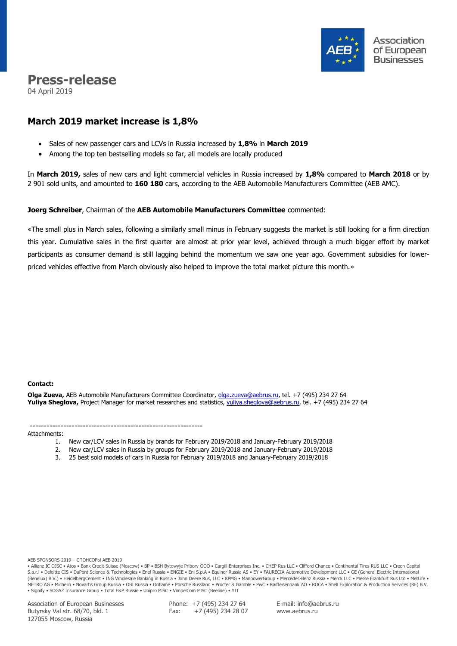

# **Press-release**

04 April 2019

## **March 2019 market increase is 1,8%**

- Sales of new passenger cars and LCVs in Russia increased by **1,8%** in **March 2019**
- Among the top ten bestselling models so far, all models are locally produced

In **March 2019,** sales of new cars and light commercial vehicles in Russia increased by **1,8%** compared to **March 2018** or by 2 901 sold units, and amounted to **160 180** cars, according to the AEB Automobile Manufacturers Committee (AEB AMC).

### **Joerg Schreiber**, Chairman of the **AEB Automobile Manufacturers Committee** commented:

«The small plus in March sales, following a similarly small minus in February suggests the market is still looking for a firm direction this year. Cumulative sales in the first quarter are almost at prior year level, achieved through a much bigger effort by market participants as consumer demand is still lagging behind the momentum we saw one year ago. Government subsidies for lowerpriced vehicles effective from March obviously also helped to improve the total market picture this month.»

### **Сontact:**

**Olga Zueva,** AEB Automobile Manufacturers Committee Coordinator, [olga.zueva@aebrus.ru,](mailto:olga.zueva@aebrus.ru) tel. +7 (495) 234 27 64 **Yuliya Sheglova,** Project Manager for market researches and statistics, [yuliya.sheglova@aebrus.ru,](mailto:yuliya.sheglova@aebrus.ru) tel. +7 (495) 234 27 64

#### -------------------------------------------------------------- Attachments:

- 1. New car/LCV sales in Russia by brands for February 2019/2018 and January-February 2019/2018
- 2. New car/LCV sales in Russia by groups for February 2019/2018 and January-February 2019/2018
- 3. 25 best sold models of cars in Russia for February 2019/2018 and January-February 2019/2018

#### AEB SPONSORS 2019 – СПОНСОРЫ АЕБ 2019

• Allianz IC OJSC • Atos • Bank Credit Suisse (Moscow) • BP • BSH Bytowyje Pribory OOO • Cargill Enterprises Inc. • CHEP Rus LLC • Clifford Chance • Continental Tires RUS LLC • Creon Capital S.a.r.l • Deloitte CIS • DuPont Science & Technologies • Enel Russia • ENGIE • Eni S.p.A • Equinor Russia AS • EY • FAURECIA Automotive Development LLC • GE (General Electric International (Benelux) B.V.) • HeidelbergCement • ING Wholesale Banking in Russia • John Deere Rus, LLC • KPMG • ManpowerGroup • Mercedes-Benz Russia • Merck LLC • Messe Frankfurt Rus Ltd • MetLife • METRO AG • Michelin • Novartis Group Russia • OBI Russia • Oriflame • Porsche Russland • Procter & Gamble • PwC • Raiffeisenbank AO • ROCA • Shell Exploration & Production Services (RF) B.V. • Signify • SOGAZ Insurance Group • Total E&P Russie • Unipro PJSC • VimpelCom PJSC (Beeline) • YIT

Association of European Businesses Butyrsky Val str. 68/70, bld. 1 127055 Moscow, Russia

Phone: +7 (495) 234 27 64 Fax: +7 (495) 234 28 07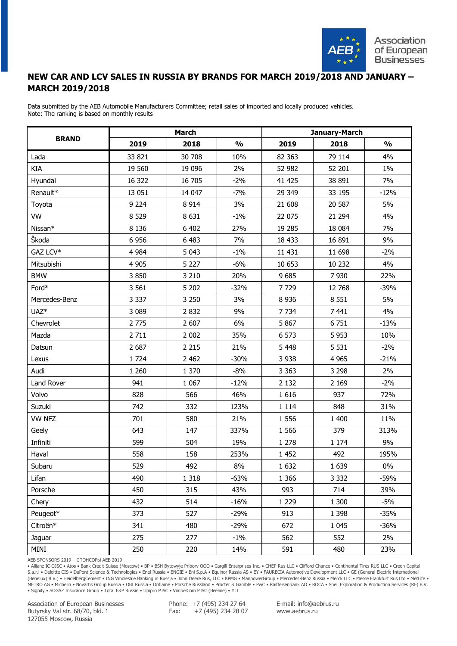

## **NEW CAR AND LCV SALES IN RUSSIA BY BRANDS FOR MARCH 2019/2018 AND JANUARY – MARCH 2019/2018**

Data submitted by the AEB Automobile Manufacturers Committee; retail sales of imported and locally produced vehicles. Note: The ranking is based on monthly results

|                  |         | <b>March</b> |               | January-March |         |               |  |  |
|------------------|---------|--------------|---------------|---------------|---------|---------------|--|--|
| <b>BRAND</b>     | 2019    | 2018         | $\frac{1}{2}$ | 2019          | 2018    | $\frac{1}{2}$ |  |  |
| Lada             | 33 821  | 30 708       | 10%           | 82 363        | 79 114  | 4%            |  |  |
| KIA              | 19 560  | 19 0 96      | 2%            | 52 982        | 52 201  | 1%            |  |  |
| Hyundai          | 16 322  | 16 705       | $-2%$         | 41 4 25       | 38 891  | 7%            |  |  |
| Renault*         | 13 051  | 14 047       | $-7%$         | 29 349        | 33 195  | $-12%$        |  |  |
| Toyota           | 9 2 2 4 | 8 9 1 4      | 3%            | 21 608        | 20 587  | 5%            |  |  |
| <b>VW</b>        | 8 5 29  | 8 6 3 1      | $-1\%$        | 22 075        | 21 294  | 4%            |  |  |
| Nissan*          | 8 1 3 6 | 6 4 0 2      | 27%           | 19 285        | 18 0 84 | 7%            |  |  |
| Škoda            | 6956    | 6 4 8 3      | 7%            | 18 4 33       | 16 891  | 9%            |  |  |
| GAZ LCV*         | 4 9 8 4 | 5 0 4 3      | $-1\%$        | 11 431        | 11 698  | $-2%$         |  |  |
| Mitsubishi       | 4 9 0 5 | 5 2 2 7      | $-6%$         | 10 653        | 10 232  | 4%            |  |  |
| <b>BMW</b>       | 3850    | 3 2 1 0      | 20%           | 9685          | 7930    | 22%           |  |  |
| Ford*            | 3 5 6 1 | 5 2 0 2      | $-32%$        | 7729          | 12 768  | $-39%$        |  |  |
| Mercedes-Benz    | 3 3 3 7 | 3 2 5 0      | 3%            | 8 9 3 6       | 8 5 5 1 | 5%            |  |  |
| UAZ <sup>*</sup> | 3 0 8 9 | 2832         | 9%            | 7 7 3 4       | 7441    | 4%            |  |  |
| Chevrolet        | 2 7 7 5 | 2 607        | 6%            | 5 8 6 7       | 6751    | $-13%$        |  |  |
| Mazda            | 2711    | 2 0 0 2      | 35%           | 6 5 7 3       | 5953    | 10%           |  |  |
| Datsun           | 2 6 8 7 | 2 2 1 5      | 21%           | 5 4 4 8       | 5 5 3 1 | $-2%$         |  |  |
| Lexus            | 1724    | 2 4 6 2      | $-30%$        | 3 9 3 8       | 4 9 6 5 | $-21%$        |  |  |
| Audi             | 1 2 6 0 | 1 370        | $-8%$         | 3 3 6 3       | 3 2 9 8 | 2%            |  |  |
| Land Rover       | 941     | 1 0 6 7      | $-12%$        | 2 1 3 2       | 2 1 6 9 | $-2%$         |  |  |
| Volvo            | 828     | 566          | 46%           | 1616          | 937     | 72%           |  |  |
| Suzuki           | 742     | 332          | 123%          | 1 1 1 4       | 848     | 31%           |  |  |
| <b>VW NFZ</b>    | 701     | 580          | 21%           | 1 5 5 6       | 1 400   | 11%           |  |  |
| Geely            | 643     | 147          | 337%          | 1 5 6 6       | 379     | 313%          |  |  |
| Infiniti         | 599     | 504          | 19%           | 1 2 7 8       | 1 1 7 4 | 9%            |  |  |
| Haval            | 558     | 158          | 253%          | 1 4 5 2       | 492     | 195%          |  |  |
| Subaru           | 529     | 492          | 8%            | 1632          | 1 6 3 9 | $0\%$         |  |  |
| Lifan            | 490     | 1 3 1 8      | $-63%$        | 1 3 6 6       | 3 3 3 2 | $-59%$        |  |  |
| Porsche          | 450     | 315          | 43%           | 993           | 714     | 39%           |  |  |
| Chery            | 432     | 514          | $-16%$        | 1 2 2 9       | 1 300   | $-5%$         |  |  |
| Peugeot*         | 373     | 527          | $-29%$        | 913           | 1 3 9 8 | $-35%$        |  |  |
| Citroën*         | 341     | 480          | $-29%$        | 672           | 1 0 4 5 | $-36%$        |  |  |
| Jaguar           | 275     | 277          | $-1\%$        | 562           | 552     | 2%            |  |  |
| MINI             | 250     | 220          | 14%           | 591           | 480     | 23%           |  |  |

AEB SPONSORS 2019 – СПОНСОРЫ АЕБ 2019

• Allianz IC OJSC • Atos • Bank Credit Suisse (Moscow) • BP • BSH Bytowyje Pribory OOO • Cargill Enterprises Inc. • CHEP Rus LLC • Clifford Chance • Continental Tires RUS LLC • Creon Capital S.a.r.l • Deloitte CIS • DuPont Science & Technologies • Enel Russia • ENGIE • Eni S.p.A • Equinor Russia AS • EY • FAURECIA Automotive Development LLC • GE (General Electric International (Benelux) B.V.) • HeidelbergCement • ING Wholesale Banking in Russia • John Deere Rus, LLC • KPMG • ManpowerGroup • Mercedes-Benz Russia • Merck LLC • Messe Frankfurt Rus Ltd • MetLife • METRO AG • Michelin • Novartis Group Russia • OBI Russia • Oriflame • Porsche Russland • Procter & Gamble • PwC • Raiffeisenbank AO • ROCA • Shell Exploration & Production Services (RF) B.V. • Signify • SOGAZ Insurance Group • Total E&P Russie • Unipro PJSC • VimpelCom PJSC (Beeline) • YIT

Association of European Businesses Butyrsky Val str. 68/70, bld. 1 127055 Moscow, Russia

Phone: +7 (495) 234 27 64 Fax: +7 (495) 234 28 07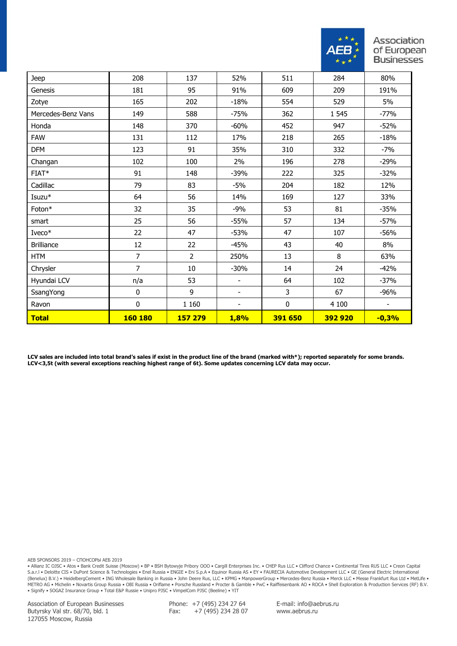

| Jeep               | 208            | 137            | 52%                      | 511     | 284     | 80%     |
|--------------------|----------------|----------------|--------------------------|---------|---------|---------|
| Genesis            | 181            | 95             | 91%                      | 609     | 209     | 191%    |
| Zotye              | 165            | 202            | $-18%$                   | 554     | 529     | 5%      |
| Mercedes-Benz Vans | 149            | 588            | $-75%$                   | 362     | 1 5 4 5 | $-77%$  |
| Honda              | 148            | 370            | $-60%$                   | 452     | 947     | $-52%$  |
| <b>FAW</b>         | 131            | 112            | 17%                      | 218     | 265     | $-18%$  |
| <b>DFM</b>         | 123            | 91             | 35%                      | 310     | 332     | $-7%$   |
| Changan            | 102            | 100            | 2%                       | 196     | 278     | $-29%$  |
| $FIAT*$            | 91             | 148            | $-39%$                   | 222     | 325     | $-32%$  |
| Cadillac           | 79             | 83             | $-5%$                    | 204     | 182     | 12%     |
| Isuzu*             | 64             | 56             | 14%                      | 169     | 127     | 33%     |
| Foton*             | 32             | 35             | $-9%$                    | 53      | 81      | $-35%$  |
| smart              | 25             | 56             | $-55%$                   | 57      | 134     | $-57%$  |
| Iveco*             | 22             | 47             | $-53%$                   | 47      | 107     | $-56%$  |
| <b>Brilliance</b>  | 12             | 22             | $-45%$                   | 43      | 40      | 8%      |
| <b>HTM</b>         | 7              | $\overline{2}$ | 250%                     | 13      | 8       | 63%     |
| Chrysler           | $\overline{7}$ | 10             | $-30%$                   | 14      | 24      | $-42%$  |
| Hyundai LCV        | n/a            | 53             | $\overline{\phantom{a}}$ | 64      | 102     | $-37%$  |
| SsangYong          | 0              | 9              | $\overline{\phantom{a}}$ | 3       | 67      | $-96%$  |
| Ravon              | 0              | 1 1 6 0        |                          | 0       | 4 100   |         |
| <b>Total</b>       | <b>160 180</b> | 157 279        | 1,8%                     | 391 650 | 392 920 | $-0,3%$ |

**LCV sales are included into total brand's sales if exist in the product line of the brand (marked with\*); reported separately for some brands. LCV<3,5t (with several exceptions reaching highest range of 6t). Some updates concerning LCV data may occur.**

AEB SPONSORS 2019 – СПОНСОРЫ АЕБ 2019

• Allianz IC OJSC • Atos • Bank Credit Suisse (Moscow) • BP • BSH Bytowyje Pribory OOO • Cargill Enterprises Inc. • CHEP Rus LLC • Clifford Chance • Continental Tires RUS LLC • Creon Capital S.a.r.l • Deloitte CIS • DuPont Science & Technologies • Enel Russia • ENGIE • Eni S.p.A • Equinor Russia AS • EY • FAURECIA Automotive Development LLC • GE (General Electric International (Benelux) B.V.) • HeidelbergCement • ING Wholesale Banking in Russia • John Deere Rus, LLC • KPMG • ManpowerGroup • Mercedes-Benz Russia • Merck LLC • Messe Frankfurt Rus Ltd • MetLife • METRO AG • Michelin • Novartis Group Russia • OBI Russia • Oriflame • Porsche Russland • Procter & Gamble • PwC • Raiffeisenbank AO • ROCA • Shell Exploration & Production Services (RF) B.V. • Signify • SOGAZ Insurance Group • Total E&P Russie • Unipro PJSC • VimpelCom PJSC (Beeline) • YIT

Association of European Businesses Butyrsky Val str. 68/70, bld. 1 127055 Moscow, Russia

Phone: +7 (495) 234 27 64 Fax: +7 (495) 234 28 07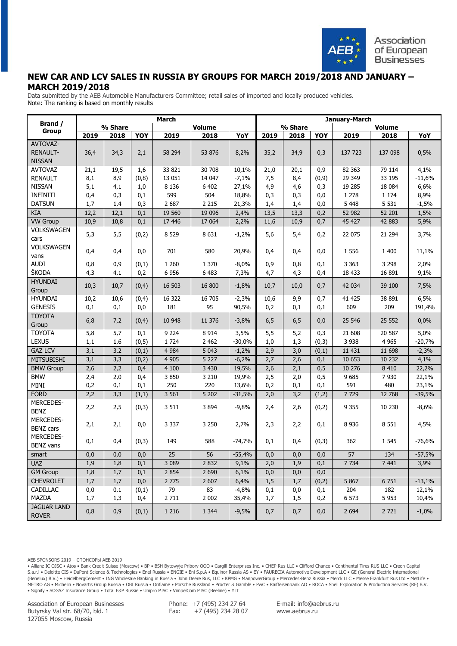

## **NEW CAR AND LCV SALES IN RUSSIA BY GROUPS FOR MARCH 2019/2018 AND JANUARY – MARCH 2019/2018**

Data submitted by the AEB Automobile Manufacturers Committee; retail sales of imported and locally produced vehicles. Note: The ranking is based on monthly results

|                                                                                                                                           |                                               |                                               |                                                   | March                                                |                                                    |                                                                 |                                                 |                                               |                                          | January-March                                       |                                       |                                                           |
|-------------------------------------------------------------------------------------------------------------------------------------------|-----------------------------------------------|-----------------------------------------------|---------------------------------------------------|------------------------------------------------------|----------------------------------------------------|-----------------------------------------------------------------|-------------------------------------------------|-----------------------------------------------|------------------------------------------|-----------------------------------------------------|---------------------------------------|-----------------------------------------------------------|
| Brand /<br>Group                                                                                                                          |                                               | % Share                                       |                                                   |                                                      | <b>Volume</b>                                      |                                                                 |                                                 | % Share                                       |                                          |                                                     | <b>Volume</b>                         |                                                           |
|                                                                                                                                           | 2019                                          | 2018                                          | YOY                                               | 2019                                                 | 2018                                               | YoY                                                             | 2019                                            | 2018                                          | YOY                                      | 2019                                                | 2018                                  | YoY                                                       |
| AVTOVAZ-                                                                                                                                  |                                               |                                               |                                                   |                                                      |                                                    |                                                                 |                                                 |                                               |                                          |                                                     |                                       |                                                           |
| <b>RENAULT-</b>                                                                                                                           | 36,4                                          | 34,3                                          | 2,1                                               | 58 294                                               | 53 876                                             | 8,2%                                                            | 35,2                                            | 34,9                                          | 0,3                                      | 137 723                                             | 137 098                               | 0,5%                                                      |
| <b>NISSAN</b>                                                                                                                             |                                               |                                               |                                                   |                                                      |                                                    |                                                                 |                                                 |                                               |                                          |                                                     |                                       |                                                           |
| <b>AVTOVAZ</b>                                                                                                                            | 21,1                                          | 19,5                                          | 1,6                                               | 33 821                                               | 30 708                                             | 10,1%                                                           | 21,0                                            | 20,1                                          | 0,9                                      | 82 363                                              | 79 114                                | 4,1%                                                      |
| <b>RENAULT</b>                                                                                                                            | 8,1                                           | 8,9                                           | (0, 8)                                            | 13 051                                               | 14 047                                             | $-7,1%$                                                         | 7,5                                             | 8,4                                           | (0, 9)                                   | 29 349                                              | 33 195                                | $-11,6%$                                                  |
| <b>NISSAN</b>                                                                                                                             | 5,1                                           | 4,1                                           | 1,0                                               | 8 1 3 6<br>599                                       | 6 4 0 2<br>504                                     | 27,1%                                                           | 4,9                                             | 4,6                                           | 0,3                                      | 19 28 5<br>1 2 7 8                                  | 18 084                                | 6,6%                                                      |
| <b>INFINITI</b><br><b>DATSUN</b>                                                                                                          | 0,4<br>1,7                                    | 0,3<br>1,4                                    | 0,1<br>0,3                                        | 2 6 8 7                                              | 2 2 1 5                                            | 18,8%<br>21,3%                                                  | 0,3<br>1,4                                      | 0,3<br>1,4                                    | 0,0<br>0,0                               | 5 4 4 8                                             | 1 1 7 4<br>5 5 3 1                    | 8,9%<br>$-1,5%$                                           |
| <b>KIA</b>                                                                                                                                | 12,2                                          | 12,1                                          | 0,1                                               | 19 560                                               | 19 0 96                                            | 2,4%                                                            | 13,5                                            | 13,3                                          | 0,2                                      | 52 982                                              | 52 201                                | 1,5%                                                      |
| <b>VW Group</b>                                                                                                                           | 10,9                                          | 10,8                                          | 0,1                                               | 17 446                                               | 17 064                                             | 2,2%                                                            | 11,6                                            | 10,9                                          | 0,7                                      | 45 427                                              | 42 883                                | 5,9%                                                      |
| VOLKSWAGEN                                                                                                                                |                                               |                                               |                                                   |                                                      |                                                    |                                                                 |                                                 |                                               |                                          |                                                     |                                       |                                                           |
| cars                                                                                                                                      | 5,3                                           | 5,5                                           | (0,2)                                             | 8 5 29                                               | 8631                                               | $-1,2%$                                                         | 5,6                                             | 5,4                                           | 0,2                                      | 22 075                                              | 21 294                                | 3,7%                                                      |
| <b>VOLKSWAGEN</b>                                                                                                                         |                                               |                                               |                                                   |                                                      |                                                    |                                                                 |                                                 |                                               |                                          |                                                     |                                       |                                                           |
| vans                                                                                                                                      | 0,4                                           | 0,4                                           | 0,0                                               | 701                                                  | 580                                                | 20,9%                                                           | 0,4                                             | 0,4                                           | 0,0                                      | 1 5 5 6                                             | 1 400                                 | 11,1%                                                     |
| <b>AUDI</b>                                                                                                                               | 0,8                                           | 0,9                                           | (0,1)                                             | 1 2 6 0                                              | 1 3 7 0                                            | $-8,0%$                                                         | 0,9                                             | 0,8                                           | 0,1                                      | 3 3 6 3                                             | 3 2 9 8                               | 2,0%                                                      |
| ŠKODA                                                                                                                                     | 4,3                                           | 4,1                                           | 0,2                                               | 6 9 5 6                                              | 6 4 8 3                                            | 7,3%                                                            | 4,7                                             | 4,3                                           | 0,4                                      | 18 433                                              | 16 891                                | 9,1%                                                      |
| <b>HYUNDAI</b>                                                                                                                            |                                               |                                               |                                                   |                                                      |                                                    |                                                                 |                                                 |                                               |                                          |                                                     |                                       |                                                           |
| Group                                                                                                                                     | 10,3                                          | 10,7                                          | (0,4)                                             | 16 503                                               | 16 800                                             | $-1,8%$                                                         | 10,7                                            | 10,0                                          | 0,7                                      | 42 034                                              | 39 100                                | 7,5%                                                      |
| <b>HYUNDAI</b>                                                                                                                            | 10,2                                          | 10,6                                          | (0,4)                                             | 16 322                                               | 16 705                                             | $-2,3%$                                                         | 10,6                                            | 9,9                                           | 0,7                                      | 41 425                                              | 38 891                                | 6,5%                                                      |
| <b>GENESIS</b>                                                                                                                            | 0,1                                           | 0,1                                           | 0,0                                               | 181                                                  | 95                                                 | 90,5%                                                           | 0,2                                             | 0,1                                           | 0,1                                      | 609                                                 | 209                                   | 191,4%                                                    |
| <b>TOYOTA</b>                                                                                                                             | 6,8                                           | 7,2                                           | (0,4)                                             | 10 948                                               | 11 376                                             | $-3,8%$                                                         | 6,5                                             | 6, 5                                          | 0,0                                      | 25 546                                              | 25 552                                | 0,0%                                                      |
| Group                                                                                                                                     |                                               |                                               |                                                   |                                                      |                                                    |                                                                 |                                                 |                                               |                                          |                                                     |                                       |                                                           |
| <b>TOYOTA</b>                                                                                                                             | 5,8                                           | 5,7                                           | 0,1                                               | 9 2 2 4                                              | 8914                                               | 3,5%                                                            | 5,5                                             | 5,2                                           | 0,3                                      | 21 608                                              | 20 587                                | 5,0%                                                      |
| <b>LEXUS</b>                                                                                                                              | 1,1                                           | 1,6                                           | (0, 5)                                            | 1 7 2 4                                              | 2 4 6 2                                            | $-30,0%$                                                        | 1,0                                             | 1,3                                           | (0,3)                                    | 3 9 3 8                                             | 4 9 6 5                               | $-20,7%$                                                  |
| <b>GAZ LCV</b>                                                                                                                            | 3,1                                           | 3,2                                           | (0,1)                                             | 4 9 8 4                                              | 5 0 4 3                                            | $-1,2%$                                                         | 2,9                                             | 3,0                                           | (0,1)                                    | 11 431                                              | 11 698                                | $-2,3%$                                                   |
| <b>MITSUBISHI</b>                                                                                                                         | 3,1                                           | 3,3                                           | (0,2)                                             | 4 9 0 5                                              | 5 2 2 7                                            | $-6,2%$                                                         | 2,7                                             | 2,6                                           | 0,1                                      | 10 653                                              | 10 232                                | 4,1%                                                      |
| <b>BMW Group</b>                                                                                                                          | 2,6                                           | 2,2                                           | 0,4                                               | 4 100                                                | 3 4 3 0                                            | 19,5%                                                           | 2,6                                             | 2,1                                           | 0,5                                      | 10 276                                              | 8 4 1 0                               | 22,2%                                                     |
| <b>BMW</b>                                                                                                                                | 2,4                                           | 2,0                                           | 0,4                                               | 3 8 5 0                                              | 3 2 1 0                                            | 19,9%                                                           | 2,5                                             | 2,0                                           | 0,5                                      | 9 6 8 5                                             | 7930                                  | 22,1%                                                     |
| MINI                                                                                                                                      | 0,2                                           | 0,1                                           | 0,1                                               | 250                                                  | 220                                                | 13,6%                                                           | 0,2                                             | 0,1                                           | 0,1                                      | 591                                                 | 480                                   | 23,1%                                                     |
| <b>FORD</b>                                                                                                                               | 2,2                                           | 3,3                                           | (1,1)                                             | 3 5 6 1                                              | 5 2 0 2                                            | $-31,5%$                                                        | 2,0                                             | 3,2                                           | (1,2)                                    | 7729                                                | 12 768                                | $-39,5%$                                                  |
| MERCEDES-                                                                                                                                 | 2,2                                           | 2,5                                           | (0,3)                                             | 3 5 1 1                                              | 3894                                               | $-9,8%$                                                         | 2,4                                             | 2,6                                           | (0,2)                                    | 9 3 5 5                                             | 10 230                                | $-8,6%$                                                   |
| <b>BENZ</b>                                                                                                                               |                                               |                                               |                                                   |                                                      |                                                    |                                                                 |                                                 |                                               |                                          |                                                     |                                       |                                                           |
| MERCEDES-<br><b>BENZ cars</b>                                                                                                             | 2,1                                           | 2,1                                           | 0,0                                               | 3 3 3 7                                              | 3 2 5 0                                            | 2,7%                                                            | 2,3                                             | 2,2                                           | 0,1                                      | 8 9 3 6                                             | 8 5 5 1                               | 4,5%                                                      |
| MERCEDES-                                                                                                                                 |                                               |                                               |                                                   |                                                      |                                                    |                                                                 |                                                 |                                               |                                          |                                                     |                                       |                                                           |
|                                                                                                                                           | 0,1                                           | 0,4                                           | (0,3)                                             | 149                                                  | 588                                                | $-74,7%$                                                        | 0,1                                             | 0,4                                           | (0,3)                                    | 362                                                 | 1 5 4 5                               | $-76,6%$                                                  |
|                                                                                                                                           |                                               |                                               |                                                   |                                                      |                                                    |                                                                 |                                                 |                                               |                                          |                                                     |                                       |                                                           |
|                                                                                                                                           |                                               |                                               |                                                   |                                                      |                                                    |                                                                 |                                                 |                                               |                                          |                                                     |                                       |                                                           |
|                                                                                                                                           |                                               |                                               |                                                   |                                                      |                                                    |                                                                 |                                                 |                                               |                                          |                                                     |                                       |                                                           |
|                                                                                                                                           |                                               |                                               |                                                   |                                                      |                                                    |                                                                 |                                                 |                                               |                                          |                                                     |                                       |                                                           |
|                                                                                                                                           |                                               |                                               |                                                   |                                                      |                                                    |                                                                 |                                                 |                                               |                                          |                                                     |                                       |                                                           |
|                                                                                                                                           |                                               |                                               |                                                   |                                                      |                                                    |                                                                 |                                                 |                                               |                                          |                                                     |                                       |                                                           |
|                                                                                                                                           |                                               |                                               |                                                   |                                                      |                                                    |                                                                 |                                                 |                                               |                                          |                                                     |                                       |                                                           |
|                                                                                                                                           |                                               |                                               |                                                   | 1 2 1 6                                              | 1 3 4 4                                            |                                                                 |                                                 |                                               | 0,0                                      |                                                     | 2 7 2 1                               |                                                           |
| <b>BENZ</b> vans<br>smart<br><b>UAZ</b><br><b>GM Group</b><br><b>CHEVROLET</b><br>CADILLAC<br>MAZDA<br><b>JAGUAR LAND</b><br><b>ROVER</b> | 0,0<br>1,9<br>1,8<br>1,7<br>0,0<br>1,7<br>0,8 | 0,0<br>1,8<br>1,7<br>1,7<br>0,1<br>1,3<br>0,9 | 0,0<br>0,1<br>0,1<br>0,0<br>(0,1)<br>0,4<br>(0,1) | 25<br>3 0 8 9<br>2 8 5 4<br>2 7 7 5<br>79<br>2 7 1 1 | 56<br>2 8 3 2<br>2 6 9 0<br>2 607<br>83<br>2 0 0 2 | $-55,4%$<br>9,1%<br>6,1%<br>6,4%<br>$-4,8%$<br>35,4%<br>$-9,5%$ | 0,0<br>$2,0$<br>0,0<br>1,5<br>0,1<br>1,7<br>0,7 | 0,0<br>1,9<br>0,0<br>1,7<br>0,0<br>1,5<br>0,7 | 0,0<br>0,1<br>0,0<br>(0,2)<br>0,1<br>0,2 | 57<br>7 7 3 4<br>5 8 6 7<br>204<br>6 573<br>2 6 9 4 | 134<br>7 4 4 1<br>6751<br>182<br>5953 | $-57,5%$<br>3,9%<br>$-13,1%$<br>12,1%<br>10,4%<br>$-1,0%$ |

AEB SPONSORS 2019 – СПОНСОРЫ АЕБ 2019

• Allianz IC OJSC • Atos • Bank Credit Suisse (Moscow) • BP • BSH Bytowyje Pribory OOO • Cargill Enterprises Inc. • CHEP Rus LLC • Clifford Chance • Continental Tires RUS LLC • Creon Capital S.a.r.l • Deloitte CIS • DuPont Science & Technologies • Enel Russia • ENGIE • Eni S.p.A • Equinor Russia AS • EY • FAURECIA Automotive Development LLC • GE (General Electric International (Benelux) B.V.) • HeidelbergCement • ING Wholesale Banking in Russia • John Deere Rus, LLC • KPMG • ManpowerGroup • Mercedes-Benz Russia • Merck LLC • Messe Frankfurt Rus Ltd • MetLife • METRO AG • Michelin • Novartis Group Russia • OBI Russia • Oriflame • Porsche Russland • Procter & Gamble • PwC • Raiffeisenbank AO • ROCA • Shell Exploration & Production Services (RF) B.V. • Signify • SOGAZ Insurance Group • Total E&P Russie • Unipro PJSC • VimpelCom PJSC (Beeline) • YIT

Association of European Businesses Butyrsky Val str. 68/70, bld. 1 127055 Moscow, Russia

Phone: +7 (495) 234 27 64 Fax: +7 (495) 234 28 07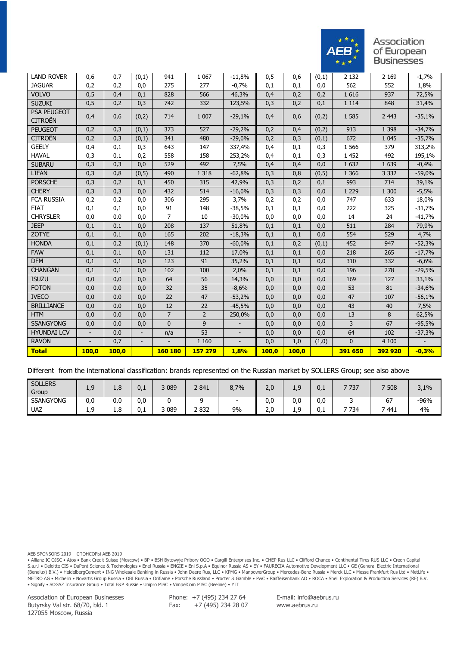

| <b>LAND ROVER</b>                    |                          |       |       | 941            | 1 0 6 7        |          |       |       |       | 2 1 3 2     | 2 1 6 9 |          |
|--------------------------------------|--------------------------|-------|-------|----------------|----------------|----------|-------|-------|-------|-------------|---------|----------|
| <b>JAGUAR</b>                        | 0,6                      | 0,7   | (0,1) | 275            |                | $-11,8%$ | 0,5   | 0,6   | (0,1) |             |         | $-1,7%$  |
|                                      | 0,2                      | 0,2   | 0,0   |                | 277            | $-0,7%$  | 0,1   | 0,1   | 0,0   | 562         | 552     | 1,8%     |
| <b>VOLVO</b>                         | 0,5                      | 0,4   | 0,1   | 828            | 566            | 46,3%    | 0,4   | 0,2   | 0,2   | 1 6 1 6     | 937     | 72,5%    |
| <b>SUZUKI</b>                        | 0,5                      | 0,2   | 0,3   | 742            | 332            | 123,5%   | 0,3   | 0,2   | 0,1   | 1 1 1 4     | 848     | 31,4%    |
| <b>PSA PEUGEOT</b><br><b>CITROËN</b> | 0,4                      | 0,6   | (0,2) | 714            | 1 0 0 7        | $-29,1%$ | 0,4   | 0,6   | (0,2) | 1 5 8 5     | 2 4 4 3 | $-35,1%$ |
| <b>PEUGEOT</b>                       | 0,2                      | 0,3   | (0,1) | 373            | 527            | $-29,2%$ | 0,2   | 0,4   | (0,2) | 913         | 1 3 9 8 | $-34,7%$ |
| <b>CITROËN</b>                       | 0,2                      | 0,3   | (0,1) | 341            | 480            | $-29,0%$ | 0,2   | 0,3   | (0,1) | 672         | 1 0 4 5 | $-35,7%$ |
| <b>GEELY</b>                         | 0,4                      | 0,1   | 0,3   | 643            | 147            | 337,4%   | 0,4   | 0,1   | 0,3   | 1 5 6 6     | 379     | 313,2%   |
| <b>HAVAL</b>                         | 0,3                      | 0,1   | 0,2   | 558            | 158            | 253,2%   | 0,4   | 0,1   | 0,3   | 1 4 5 2     | 492     | 195,1%   |
| <b>SUBARU</b>                        | 0,3                      | 0,3   | 0,0   | 529            | 492            | 7,5%     | 0,4   | 0,4   | 0,0   | 1 6 3 2     | 1 6 3 9 | $-0,4%$  |
| <b>LIFAN</b>                         | 0,3                      | 0,8   | (0,5) | 490            | 1 3 1 8        | $-62,8%$ | 0,3   | 0,8   | (0,5) | 1 3 6 6     | 3 3 3 2 | $-59,0%$ |
| <b>PORSCHE</b>                       | 0,3                      | 0,2   | 0,1   | 450            | 315            | 42,9%    | 0,3   | 0,2   | 0,1   | 993         | 714     | 39,1%    |
| <b>CHERY</b>                         | 0,3                      | 0,3   | 0,0   | 432            | 514            | $-16,0%$ | 0,3   | 0,3   | 0,0   | 1 2 2 9     | 1 300   | $-5,5%$  |
| <b>FCA RUSSIA</b>                    | 0,2                      | 0,2   | 0,0   | 306            | 295            | 3,7%     | 0,2   | 0,2   | 0,0   | 747         | 633     | 18,0%    |
| <b>FIAT</b>                          | 0,1                      | 0,1   | 0,0   | 91             | 148            | $-38,5%$ | 0,1   | 0,1   | 0,0   | 222         | 325     | $-31,7%$ |
| <b>CHRYSLER</b>                      | 0,0                      | 0,0   | 0,0   | $\overline{7}$ | 10             | $-30,0%$ | 0,0   | 0,0   | 0,0   | 14          | 24      | $-41,7%$ |
| <b>JEEP</b>                          | 0,1                      | 0,1   | 0,0   | 208            | 137            | 51,8%    | 0,1   | 0,1   | 0,0   | 511         | 284     | 79,9%    |
| ZOTYE                                | 0,1                      | 0,1   | 0,0   | 165            | 202            | $-18,3%$ | 0,1   | 0,1   | 0,0   | 554         | 529     | 4,7%     |
| <b>HONDA</b>                         | 0,1                      | 0,2   | (0,1) | 148            | 370            | $-60,0%$ | 0,1   | 0,2   | (0,1) | 452         | 947     | $-52,3%$ |
| <b>FAW</b>                           | 0,1                      | 0,1   | 0,0   | 131            | 112            | 17,0%    | 0,1   | 0,1   | 0,0   | 218         | 265     | $-17,7%$ |
| <b>DFM</b>                           | 0,1                      | 0,1   | 0,0   | 123            | 91             | 35,2%    | 0,1   | 0,1   | 0,0   | 310         | 332     | $-6,6%$  |
| <b>CHANGAN</b>                       | 0,1                      | 0,1   | 0,0   | 102            | 100            | 2,0%     | 0,1   | 0,1   | 0,0   | 196         | 278     | $-29,5%$ |
| <b>ISUZU</b>                         | 0,0                      | 0,0   | 0,0   | 64             | 56             | 14,3%    | 0,0   | 0,0   | 0,0   | 169         | 127     | 33,1%    |
| <b>FOTON</b>                         | 0,0                      | 0,0   | 0,0   | 32             | 35             | $-8,6%$  | 0,0   | 0,0   | 0,0   | 53          | 81      | $-34,6%$ |
| <b>IVECO</b>                         | 0,0                      | 0,0   | 0,0   | 22             | 47             | $-53,2%$ | 0,0   | 0,0   | 0,0   | 47          | 107     | $-56,1%$ |
| <b>BRILLIANCE</b>                    | 0,0                      | 0,0   | 0,0   | 12             | 22             | $-45,5%$ | 0,0   | 0,0   | 0,0   | 43          | 40      | 7,5%     |
| <b>HTM</b>                           | 0,0                      | 0,0   | 0,0   | $\overline{7}$ | $\overline{2}$ | 250,0%   | 0,0   | 0,0   | 0,0   | 13          | 8       | 62,5%    |
| <b>SSANGYONG</b>                     | 0,0                      | 0,0   | 0,0   | $\mathbf{0}$   | 9              |          | 0,0   | 0,0   | 0,0   | 3           | 67      | $-95,5%$ |
| <b>HYUNDAI LCV</b>                   | $\overline{\phantom{a}}$ | 0,0   |       | n/a            | 53             |          | 0,0   | 0,0   | 0,0   | 64          | 102     | $-37,3%$ |
| <b>RAVON</b>                         |                          | 0,7   |       |                | 1 1 6 0        |          | 0,0   | 1,0   | (1,0) | $\mathbf 0$ | 4 100   |          |
| <b>Total</b>                         | 100,0                    | 100,0 |       | 160 180        | 157 279        | 1,8%     | 100,0 | 100,0 |       | 391 650     | 392 920 | $-0,3%$  |

Different from the international classification: brands represented on the Russian market by SOLLERS Group; see also above

| <b>SOLLERS</b><br>Group | ◠<br>ີ່<br>1,J | $\overline{c}$<br>1,C | U.I | 089 | 2 841 | 8.7% | 2,0 | ᆠ       | 0.1           | 7 737 | 7 508     | 3,1%   |
|-------------------------|----------------|-----------------------|-----|-----|-------|------|-----|---------|---------------|-------|-----------|--------|
| <b>SSANGYONG</b>        | 0,0            | 0,0                   | 0,0 |     |       |      | 0,0 | 0,0     | 0,0           |       | --<br>, ס | $-96%$ |
| <b>UAZ</b>              | ٥<br>1. . J    | 1.8                   | ບ.⊥ | 089 | 2832  | 9%   | 2.0 | <b></b> | $\sim$<br>v.i | 7 734 | 441       | 4%     |

AEB SPONSORS 2019 – СПОНСОРЫ АЕБ 2019

• Allianz IC OJSC • Atos • Bank Credit Suisse (Moscow) • BP • BSH Bytowyje Pribory OOO • Cargill Enterprises Inc. • CHEP Rus LLC • Clifford Chance • Continental Tires RUS LLC • Creon Capital S.a.r.l • Deloitte CIS • DuPont Science & Technologies • Enel Russia • ENGIE • Eni S.p.A • Equinor Russia AS • EY • FAURECIA Automotive Development LLC • GE (General Electric International (Benelux) B.V.) • HeidelbergCement • ING Wholesale Banking in Russia • John Deere Rus, LLC • KPMG • ManpowerGroup • Mercedes-Benz Russia • Merck LLC • Messe Frankfurt Rus Ltd • MetLife • METRO AG • Michelin • Novartis Group Russia • OBI Russia • Oriflame • Porsche Russland • Procter & Gamble • PwC • Raiffeisenbank AO • ROCA • Shell Exploration & Production Services (RF) B.V. • Signify • SOGAZ Insurance Group • Total E&P Russie • Unipro PJSC • VimpelCom PJSC (Beeline) • YIT

Association of European Businesses Butyrsky Val str. 68/70, bld. 1 127055 Moscow, Russia

Phone: +7 (495) 234 27 64 Fax:  $+7(495)$  234 28 07